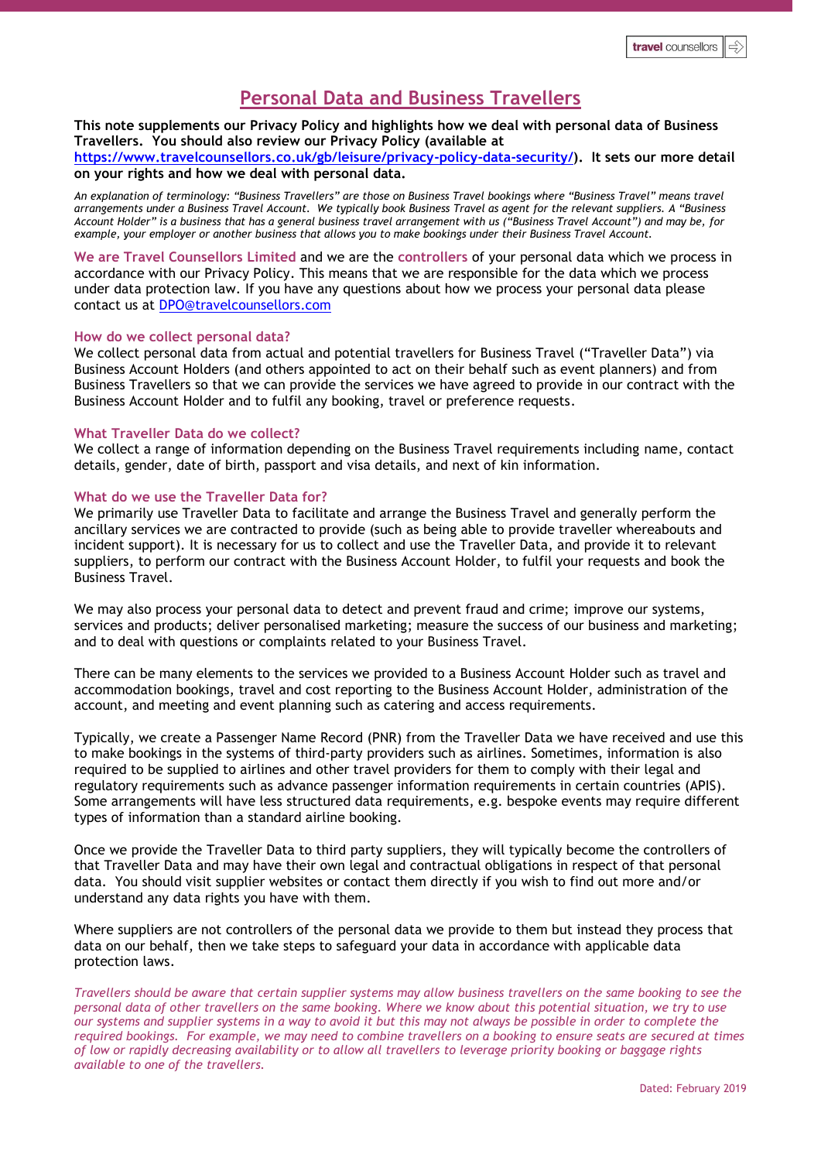# **Personal Data and Business Travellers**

## **This note supplements our Privacy Policy and highlights how we deal with personal data of Business Travellers. You should also review our Privacy Policy (available at**

**[https://www.travelcounsellors.co.uk/gb/leisure/privacy-policy-data-security/\)](https://www.travelcounsellors.co.uk/gb/leisure/privacy-policy-data-security/). It sets our more detail on your rights and how we deal with personal data.**

*An explanation of terminology: "Business Travellers" are those on Business Travel bookings where "Business Travel" means travel arrangements under a Business Travel Account. We typically book Business Travel as agent for the relevant suppliers. A "Business Account Holder" is a business that has a general business travel arrangement with us ("Business Travel Account") and may be, for example, your employer or another business that allows you to make bookings under their Business Travel Account.* 

**We are Travel Counsellors Limited** and we are the **controllers** of your personal data which we process in accordance with our Privacy Policy. This means that we are responsible for the data which we process under data protection law. If you have any questions about how we process your personal data please contact us at [DPO@travelcounsellors.com](mailto:DPO@travelcounsellors.com)

#### **How do we collect personal data?**

We collect personal data from actual and potential travellers for Business Travel ("Traveller Data") via Business Account Holders (and others appointed to act on their behalf such as event planners) and from Business Travellers so that we can provide the services we have agreed to provide in our contract with the Business Account Holder and to fulfil any booking, travel or preference requests.

#### **What Traveller Data do we collect?**

We collect a range of information depending on the Business Travel requirements including name, contact details, gender, date of birth, passport and visa details, and next of kin information.

### **What do we use the Traveller Data for?**

We primarily use Traveller Data to facilitate and arrange the Business Travel and generally perform the ancillary services we are contracted to provide (such as being able to provide traveller whereabouts and incident support). It is necessary for us to collect and use the Traveller Data, and provide it to relevant suppliers, to perform our contract with the Business Account Holder, to fulfil your requests and book the Business Travel.

We may also process your personal data to detect and prevent fraud and crime; improve our systems, services and products; deliver personalised marketing; measure the success of our business and marketing; and to deal with questions or complaints related to your Business Travel.

There can be many elements to the services we provided to a Business Account Holder such as travel and accommodation bookings, travel and cost reporting to the Business Account Holder, administration of the account, and meeting and event planning such as catering and access requirements.

Typically, we create a Passenger Name Record (PNR) from the Traveller Data we have received and use this to make bookings in the systems of third-party providers such as airlines. Sometimes, information is also required to be supplied to airlines and other travel providers for them to comply with their legal and regulatory requirements such as advance passenger information requirements in certain countries (APIS). Some arrangements will have less structured data requirements, e.g. bespoke events may require different types of information than a standard airline booking.

Once we provide the Traveller Data to third party suppliers, they will typically become the controllers of that Traveller Data and may have their own legal and contractual obligations in respect of that personal data. You should visit supplier websites or contact them directly if you wish to find out more and/or understand any data rights you have with them.

Where suppliers are not controllers of the personal data we provide to them but instead they process that data on our behalf, then we take steps to safeguard your data in accordance with applicable data protection laws.

*Travellers should be aware that certain supplier systems may allow business travellers on the same booking to see the personal data of other travellers on the same booking. Where we know about this potential situation, we try to use our systems and supplier systems in a way to avoid it but this may not always be possible in order to complete the required bookings. For example, we may need to combine travellers on a booking to ensure seats are secured at times of low or rapidly decreasing availability or to allow all travellers to leverage priority booking or baggage rights available to one of the travellers.*